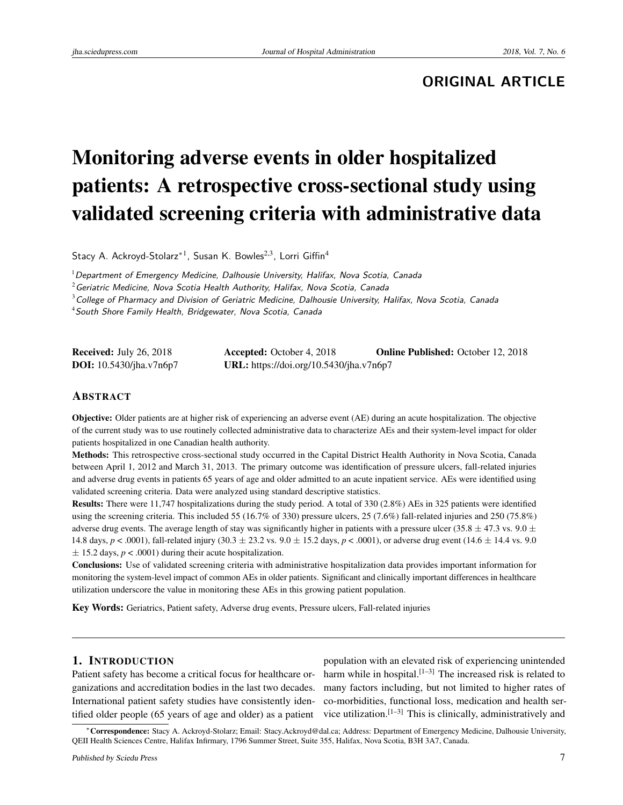# **ORIGINAL ARTICLE**

# Monitoring adverse events in older hospitalized patients: A retrospective cross-sectional study using validated screening criteria with administrative data

Stacy A. Ackroyd-Stolarz<sup>\*1</sup>, Susan K. Bowles<sup>2,3</sup>, Lorri Giffin<sup>4</sup>

<sup>1</sup> Department of Emergency Medicine, Dalhousie University, Halifax, Nova Scotia, Canada

 $^2$ Geriatric Medicine, Nova Scotia Health Authority, Halifax, Nova Scotia, Canada

 $3$ College of Pharmacy and Division of Geriatric Medicine, Dalhousie University, Halifax, Nova Scotia, Canada

<sup>4</sup> South Shore Family Health, Bridgewater, Nova Scotia, Canada

| <b>Received:</b> July 26, 2018   | <b>Accepted:</b> October 4, 2018        | <b>Online Published:</b> October 12, 2018 |
|----------------------------------|-----------------------------------------|-------------------------------------------|
| <b>DOI:</b> $10.5430/jha.v7n6p7$ | URL: https://doi.org/10.5430/jha.v7n6p7 |                                           |

#### ABSTRACT

Objective: Older patients are at higher risk of experiencing an adverse event (AE) during an acute hospitalization. The objective of the current study was to use routinely collected administrative data to characterize AEs and their system-level impact for older patients hospitalized in one Canadian health authority.

Methods: This retrospective cross-sectional study occurred in the Capital District Health Authority in Nova Scotia, Canada between April 1, 2012 and March 31, 2013. The primary outcome was identification of pressure ulcers, fall-related injuries and adverse drug events in patients 65 years of age and older admitted to an acute inpatient service. AEs were identified using validated screening criteria. Data were analyzed using standard descriptive statistics.

Results: There were 11,747 hospitalizations during the study period. A total of 330 (2.8%) AEs in 325 patients were identified using the screening criteria. This included 55 (16.7% of 330) pressure ulcers, 25 (7.6%) fall-related injuries and 250 (75.8%) adverse drug events. The average length of stay was significantly higher in patients with a pressure ulcer (35.8  $\pm$  47.3 vs. 9.0  $\pm$ 14.8 days, *p* < .0001), fall-related injury (30.3 ± 23.2 vs. 9.0 ± 15.2 days, *p* < .0001), or adverse drug event (14.6 ± 14.4 vs. 9.0  $\pm$  15.2 days,  $p < .0001$ ) during their acute hospitalization.

Conclusions: Use of validated screening criteria with administrative hospitalization data provides important information for monitoring the system-level impact of common AEs in older patients. Significant and clinically important differences in healthcare utilization underscore the value in monitoring these AEs in this growing patient population.

Key Words: Geriatrics, Patient safety, Adverse drug events, Pressure ulcers, Fall-related injuries

## 1. INTRODUCTION

Patient safety has become a critical focus for healthcare organizations and accreditation bodies in the last two decades. International patient safety studies have consistently identified older people (65 years of age and older) as a patient

population with an elevated risk of experiencing unintended harm while in hospital.<sup>[\[1](#page-7-0)-3]</sup> The increased risk is related to many factors including, but not limited to higher rates of co-morbidities, functional loss, medication and health service utilization. $[1-3]$  $[1-3]$  This is clinically, administratively and

<sup>∗</sup>Correspondence: Stacy A. Ackroyd-Stolarz; Email: Stacy.Ackroyd@dal.ca; Address: Department of Emergency Medicine, Dalhousie University, QEII Health Sciences Centre, Halifax Infirmary, 1796 Summer Street, Suite 355, Halifax, Nova Scotia, B3H 3A7, Canada.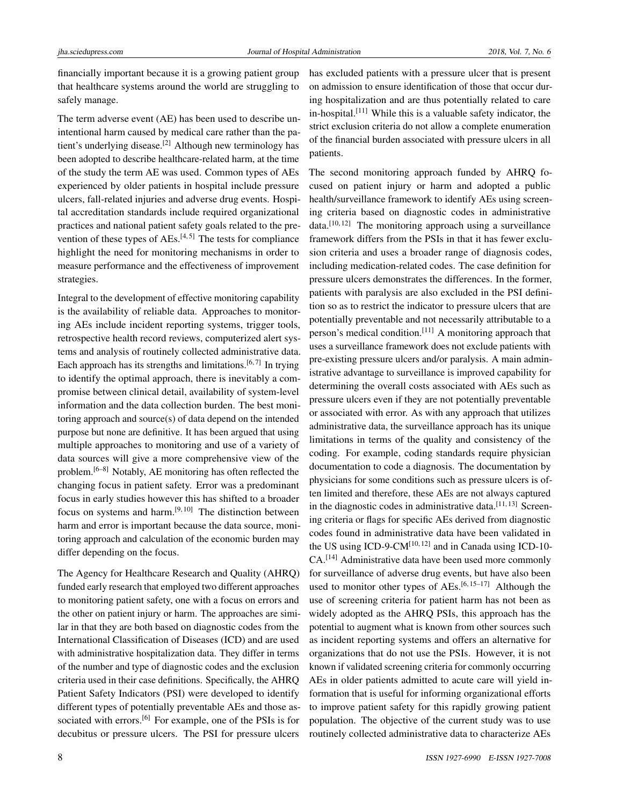financially important because it is a growing patient group that healthcare systems around the world are struggling to safely manage.

The term adverse event (AE) has been used to describe unintentional harm caused by medical care rather than the pa-tient's underlying disease.<sup>[\[2\]](#page-7-2)</sup> Although new terminology has been adopted to describe healthcare-related harm, at the time of the study the term AE was used. Common types of AEs experienced by older patients in hospital include pressure ulcers, fall-related injuries and adverse drug events. Hospital accreditation standards include required organizational practices and national patient safety goals related to the prevention of these types of  $AEs$ .<sup>[\[4,](#page-7-3)[5\]](#page-7-4)</sup> The tests for compliance highlight the need for monitoring mechanisms in order to measure performance and the effectiveness of improvement strategies.

Integral to the development of effective monitoring capability is the availability of reliable data. Approaches to monitoring AEs include incident reporting systems, trigger tools, retrospective health record reviews, computerized alert systems and analysis of routinely collected administrative data. Each approach has its strengths and limitations.<sup>[\[6,](#page-7-5)[7\]](#page-7-6)</sup> In trying to identify the optimal approach, there is inevitably a compromise between clinical detail, availability of system-level information and the data collection burden. The best monitoring approach and source(s) of data depend on the intended purpose but none are definitive. It has been argued that using multiple approaches to monitoring and use of a variety of data sources will give a more comprehensive view of the problem.[\[6–](#page-7-5)[8\]](#page-7-7) Notably, AE monitoring has often reflected the changing focus in patient safety. Error was a predominant focus in early studies however this has shifted to a broader focus on systems and harm. $[9, 10]$  $[9, 10]$  $[9, 10]$  The distinction between harm and error is important because the data source, monitoring approach and calculation of the economic burden may differ depending on the focus.

The Agency for Healthcare Research and Quality (AHRQ) funded early research that employed two different approaches to monitoring patient safety, one with a focus on errors and the other on patient injury or harm. The approaches are similar in that they are both based on diagnostic codes from the International Classification of Diseases (ICD) and are used with administrative hospitalization data. They differ in terms of the number and type of diagnostic codes and the exclusion criteria used in their case definitions. Specifically, the AHRQ Patient Safety Indicators (PSI) were developed to identify different types of potentially preventable AEs and those as-sociated with errors.<sup>[\[6\]](#page-7-5)</sup> For example, one of the PSIs is for decubitus or pressure ulcers. The PSI for pressure ulcers

has excluded patients with a pressure ulcer that is present on admission to ensure identification of those that occur during hospitalization and are thus potentially related to care in-hospital.<sup>[\[11\]](#page-7-10)</sup> While this is a valuable safety indicator, the strict exclusion criteria do not allow a complete enumeration of the financial burden associated with pressure ulcers in all patients.

The second monitoring approach funded by AHRQ focused on patient injury or harm and adopted a public health/surveillance framework to identify AEs using screening criteria based on diagnostic codes in administrative  $data.$ <sup>[\[10,](#page-7-9) [12\]](#page-7-11)</sup> The monitoring approach using a surveillance framework differs from the PSIs in that it has fewer exclusion criteria and uses a broader range of diagnosis codes, including medication-related codes. The case definition for pressure ulcers demonstrates the differences. In the former, patients with paralysis are also excluded in the PSI definition so as to restrict the indicator to pressure ulcers that are potentially preventable and not necessarily attributable to a person's medical condition.[\[11\]](#page-7-10) A monitoring approach that uses a surveillance framework does not exclude patients with pre-existing pressure ulcers and/or paralysis. A main administrative advantage to surveillance is improved capability for determining the overall costs associated with AEs such as pressure ulcers even if they are not potentially preventable or associated with error. As with any approach that utilizes administrative data, the surveillance approach has its unique limitations in terms of the quality and consistency of the coding. For example, coding standards require physician documentation to code a diagnosis. The documentation by physicians for some conditions such as pressure ulcers is often limited and therefore, these AEs are not always captured in the diagnostic codes in administrative data. $[11, 13]$  $[11, 13]$  $[11, 13]$  Screening criteria or flags for specific AEs derived from diagnostic codes found in administrative data have been validated in the US using ICD-9-CM $^{[10, 12]}$  $^{[10, 12]}$  $^{[10, 12]}$  $^{[10, 12]}$  $^{[10, 12]}$  and in Canada using ICD-10-CA.[\[14\]](#page-7-13) Administrative data have been used more commonly for surveillance of adverse drug events, but have also been used to monitor other types of  $AEs$ <sup>[\[6,](#page-7-5) [15–](#page-8-0)[17\]](#page-8-1)</sup> Although the use of screening criteria for patient harm has not been as widely adopted as the AHRQ PSIs, this approach has the potential to augment what is known from other sources such as incident reporting systems and offers an alternative for organizations that do not use the PSIs. However, it is not known if validated screening criteria for commonly occurring AEs in older patients admitted to acute care will yield information that is useful for informing organizational efforts to improve patient safety for this rapidly growing patient population. The objective of the current study was to use routinely collected administrative data to characterize AEs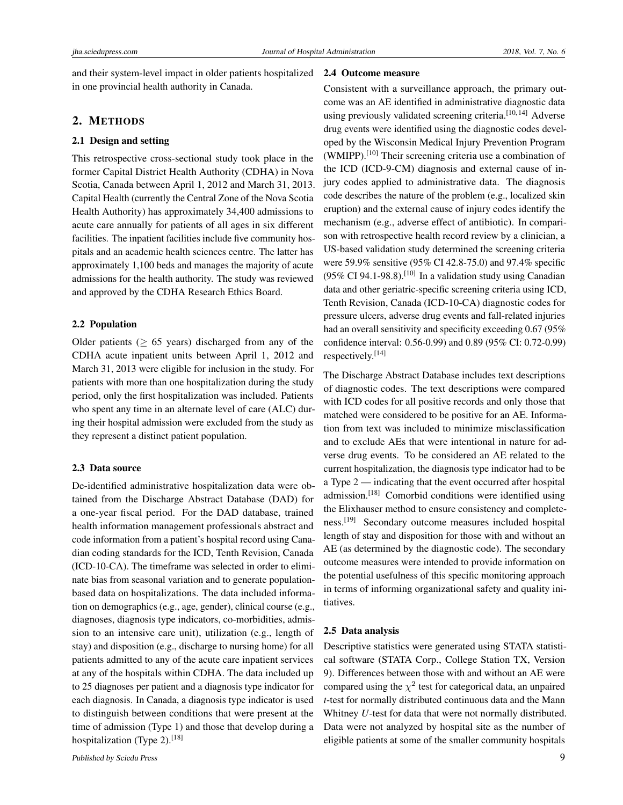and their system-level impact in older patients hospitalized in one provincial health authority in Canada.

# 2. METHODS

#### 2.1 Design and setting

This retrospective cross-sectional study took place in the former Capital District Health Authority (CDHA) in Nova Scotia, Canada between April 1, 2012 and March 31, 2013. Capital Health (currently the Central Zone of the Nova Scotia Health Authority) has approximately 34,400 admissions to acute care annually for patients of all ages in six different facilities. The inpatient facilities include five community hospitals and an academic health sciences centre. The latter has approximately 1,100 beds and manages the majority of acute admissions for the health authority. The study was reviewed and approved by the CDHA Research Ethics Board.

#### 2.2 Population

Older patients ( $> 65$  years) discharged from any of the CDHA acute inpatient units between April 1, 2012 and March 31, 2013 were eligible for inclusion in the study. For patients with more than one hospitalization during the study period, only the first hospitalization was included. Patients who spent any time in an alternate level of care (ALC) during their hospital admission were excluded from the study as they represent a distinct patient population.

#### 2.3 Data source

De-identified administrative hospitalization data were obtained from the Discharge Abstract Database (DAD) for a one-year fiscal period. For the DAD database, trained health information management professionals abstract and code information from a patient's hospital record using Canadian coding standards for the ICD, Tenth Revision, Canada (ICD-10-CA). The timeframe was selected in order to eliminate bias from seasonal variation and to generate populationbased data on hospitalizations. The data included information on demographics (e.g., age, gender), clinical course (e.g., diagnoses, diagnosis type indicators, co-morbidities, admission to an intensive care unit), utilization (e.g., length of stay) and disposition (e.g., discharge to nursing home) for all patients admitted to any of the acute care inpatient services at any of the hospitals within CDHA. The data included up to 25 diagnoses per patient and a diagnosis type indicator for each diagnosis. In Canada, a diagnosis type indicator is used to distinguish between conditions that were present at the time of admission (Type 1) and those that develop during a hospitalization (Type 2).<sup>[\[18\]](#page-8-2)</sup>

### 2.4 Outcome measure

Consistent with a surveillance approach, the primary outcome was an AE identified in administrative diagnostic data using previously validated screening criteria.<sup>[\[10,](#page-7-9) [14\]](#page-7-13)</sup> Adverse drug events were identified using the diagnostic codes developed by the Wisconsin Medical Injury Prevention Program  $(WMIPP)$ <sup>[\[10\]](#page-7-9)</sup> Their screening criteria use a combination of the ICD (ICD-9-CM) diagnosis and external cause of injury codes applied to administrative data. The diagnosis code describes the nature of the problem (e.g., localized skin eruption) and the external cause of injury codes identify the mechanism (e.g., adverse effect of antibiotic). In comparison with retrospective health record review by a clinician, a US-based validation study determined the screening criteria were 59.9% sensitive (95% CI 42.8-75.0) and 97.4% specific  $(95\% \text{ CI } 94.1 - 98.8)$ .<sup>[\[10\]](#page-7-9)</sup> In a validation study using Canadian data and other geriatric-specific screening criteria using ICD, Tenth Revision, Canada (ICD-10-CA) diagnostic codes for pressure ulcers, adverse drug events and fall-related injuries had an overall sensitivity and specificity exceeding 0.67 (95%) confidence interval: 0.56-0.99) and 0.89 (95% CI: 0.72-0.99) respectively.[\[14\]](#page-7-13)

The Discharge Abstract Database includes text descriptions of diagnostic codes. The text descriptions were compared with ICD codes for all positive records and only those that matched were considered to be positive for an AE. Information from text was included to minimize misclassification and to exclude AEs that were intentional in nature for adverse drug events. To be considered an AE related to the current hospitalization, the diagnosis type indicator had to be a Type 2 — indicating that the event occurred after hospital admission.[\[18\]](#page-8-2) Comorbid conditions were identified using the Elixhauser method to ensure consistency and completeness.[\[19\]](#page-8-3) Secondary outcome measures included hospital length of stay and disposition for those with and without an AE (as determined by the diagnostic code). The secondary outcome measures were intended to provide information on the potential usefulness of this specific monitoring approach in terms of informing organizational safety and quality initiatives.

## 2.5 Data analysis

Descriptive statistics were generated using STATA statistical software (STATA Corp., College Station TX, Version 9). Differences between those with and without an AE were compared using the  $\chi^2$  test for categorical data, an unpaired *t*-test for normally distributed continuous data and the Mann Whitney *U*-test for data that were not normally distributed. Data were not analyzed by hospital site as the number of eligible patients at some of the smaller community hospitals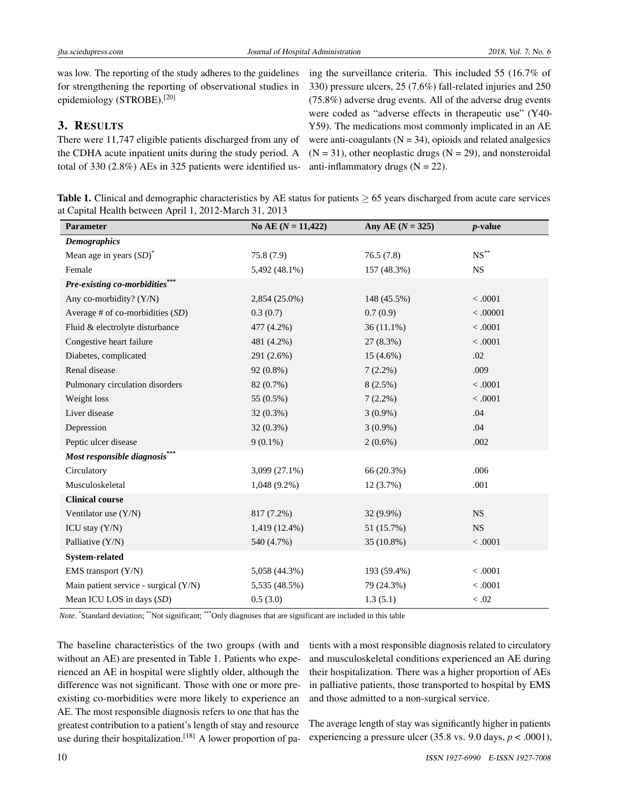was low. The reporting of the study adheres to the guidelines for strengthening the reporting of observational studies in epidemiology (STROBE).[\[20\]](#page-8-4)

# 3. RESULTS

There were 11,747 eligible patients discharged from any of the CDHA acute inpatient units during the study period. A total of 330 (2.8%) AEs in 325 patients were identified using the surveillance criteria. This included 55 (16.7% of 330) pressure ulcers, 25 (7.6%) fall-related injuries and 250 (75.8%) adverse drug events. All of the adverse drug events were coded as "adverse effects in therapeutic use" (Y40- Y59). The medications most commonly implicated in an AE were anti-coagulants  $(N = 34)$ , opioids and related analgesics  $(N = 31)$ , other neoplastic drugs  $(N = 29)$ , and nonsteroidal anti-inflammatory drugs  $(N = 22)$ .

Table 1. Clinical and demographic characteristics by AE status for patients  $\geq 65$  years discharged from acute care services at Capital Health between April 1, 2012-March 31, 2013

| Parameter                             | No AE $(N = 11,422)$ | Any AE $(N = 325)$ | $p$ -value         |
|---------------------------------------|----------------------|--------------------|--------------------|
| <b>Demographics</b>                   |                      |                    |                    |
| Mean age in years $(SD)^*$            | 75.8(7.9)            | 76.5(7.8)          | $\mathrm{NS}^{**}$ |
| Female                                | 5,492 (48.1%)        | 157 (48.3%)        | NS                 |
| Pre-existing co-morbidities*          |                      |                    |                    |
| Any co-morbidity? (Y/N)               | 2,854 (25.0%)        | 148 (45.5%)        | < .0001            |
| Average # of co-morbidities $(SD)$    | 0.3(0.7)             | 0.7(0.9)           | < .00001           |
| Fluid & electrolyte disturbance       | 477 (4.2%)           | $36(11.1\%)$       | < .0001            |
| Congestive heart failure              | 481 (4.2%)           | 27(8.3%)           | < 0.001            |
| Diabetes, complicated                 | 291 (2.6%)           | $15(4.6\%)$        | .02                |
| Renal disease                         | 92 (0.8%)            | $7(2.2\%)$         | .009               |
| Pulmonary circulation disorders       | 82 (0.7%)            | $8(2.5\%)$         | < 0.001            |
| Weight loss                           | 55 (0.5%)            | $7(2.2\%)$         | < 0.001            |
| Liver disease                         | $32(0.3\%)$          | $3(0.9\%)$         | .04                |
| Depression                            | 32 (0.3%)            | $3(0.9\%)$         | .04                |
| Peptic ulcer disease                  | $9(0.1\%)$           | $2(0.6\%)$         | .002               |
| Most responsible diagnosis***         |                      |                    |                    |
| Circulatory                           | 3,099 (27.1%)        | 66 (20.3%)         | .006               |
| Musculoskeletal                       | $1,048(9.2\%)$       | 12(3.7%)           | .001               |
| <b>Clinical course</b>                |                      |                    |                    |
| Ventilator use $(Y/N)$                | 817 (7.2%)           | $32(9.9\%)$        | <b>NS</b>          |
| ICU stay $(Y/N)$                      | 1,419 (12.4%)        | 51 (15.7%)         | <b>NS</b>          |
| Palliative (Y/N)                      | 540 (4.7%)           | 35 (10.8%)         | < .0001            |
| <b>System-related</b>                 |                      |                    |                    |
| EMS transport (Y/N)                   | 5,058 (44.3%)        | 193 (59.4%)        | < 0.001            |
| Main patient service - surgical (Y/N) | 5,535 (48.5%)        | 79 (24.3%)         | < .0001            |
| Mean ICU LOS in days (SD)             | 0.5(3.0)             | 1.3(5.1)           | < 0.02             |

Note. "Standard deviation; \*\*Not significant; \*\*\*Only diagnoses that are significant are included in this table

The baseline characteristics of the two groups (with and without an AE) are presented in Table 1. Patients who experienced an AE in hospital were slightly older, although the difference was not significant. Those with one or more preexisting co-morbidities were more likely to experience an AE. The most responsible diagnosis refers to one that has the greatest contribution to a patient's length of stay and resource use during their hospitalization.<sup>[\[18\]](#page-8-2)</sup> A lower proportion of patients with a most responsible diagnosis related to circulatory and musculoskeletal conditions experienced an AE during their hospitalization. There was a higher proportion of AEs in palliative patients, those transported to hospital by EMS and those admitted to a non-surgical service.

The average length of stay was significantly higher in patients experiencing a pressure ulcer  $(35.8 \text{ vs. } 9.0 \text{ days}, p < .0001)$ ,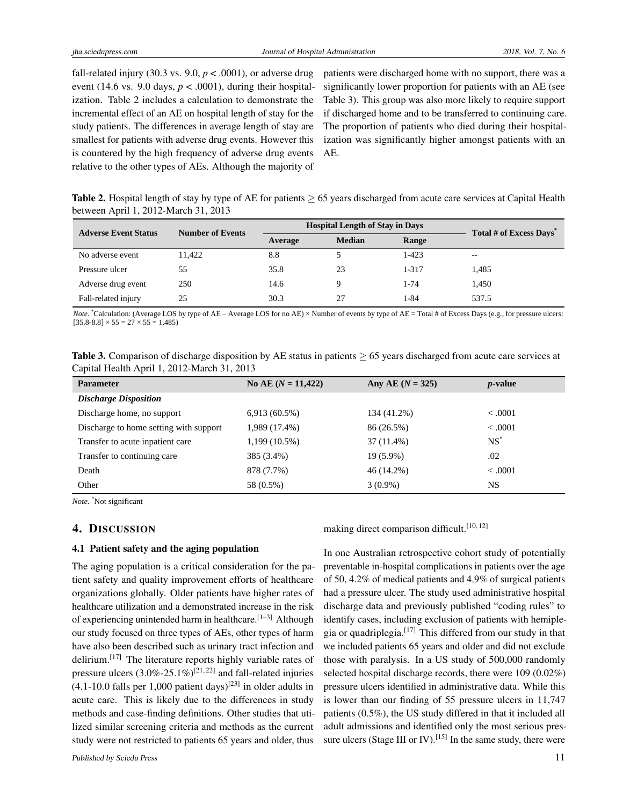fall-related injury (30.3 vs.  $9.0, p < .0001$ ), or adverse drug event (14.6 vs. 9.0 days,  $p < .0001$ ), during their hospitalization. Table 2 includes a calculation to demonstrate the incremental effect of an AE on hospital length of stay for the study patients. The differences in average length of stay are smallest for patients with adverse drug events. However this is countered by the high frequency of adverse drug events relative to the other types of AEs. Although the majority of

patients were discharged home with no support, there was a significantly lower proportion for patients with an AE (see Table 3). This group was also more likely to require support if discharged home and to be transferred to continuing care. The proportion of patients who died during their hospitalization was significantly higher amongst patients with an AE.

**Table 2.** Hospital length of stay by type of AE for patients  $\geq$  65 years discharged from acute care services at Capital Health between April 1, 2012-March 31, 2013

| <b>Adverse Event Status</b> | <b>Number of Events</b> | <b>Hospital Length of Stay in Days</b> |               |           | Total # of Excess Days |  |
|-----------------------------|-------------------------|----------------------------------------|---------------|-----------|------------------------|--|
|                             |                         | Average                                | <b>Median</b> | Range     |                        |  |
| No adverse event            | 11.422                  | 8.8                                    |               | 1-423     | $- -$                  |  |
| Pressure ulcer              | 55                      | 35.8                                   | 23            | $1 - 317$ | 1.485                  |  |
| Adverse drug event          | 250                     | 14.6                                   | Q             | 1-74      | 1,450                  |  |
| Fall-related injury         | 25                      | 30.3                                   | 27            | 1-84      | 537.5                  |  |

*Note*. \*Calculation: (Average LOS by type of AE – Average LOS for no AE) ×Number of events by type of AE = Total # of Excess Days (e.g., for pressure ulcers:  $[35.8-8.8] \times 55 = 27 \times 55 = 1,485$ 

| Table 3. Comparison of discharge disposition by AE status in patients $\geq 65$ years discharged from acute care services at |  |  |
|------------------------------------------------------------------------------------------------------------------------------|--|--|
| Capital Health April 1, 2012-March 31, 2013                                                                                  |  |  |

| <b>Parameter</b>                       | No AE $(N = 11,422)$ | Any AE $(N = 325)$ | <i>p</i> -value |
|----------------------------------------|----------------------|--------------------|-----------------|
| <b>Discharge Disposition</b>           |                      |                    |                 |
| Discharge home, no support             | $6,913(60.5\%)$      | 134 (41.2%)        | < 0.001         |
| Discharge to home setting with support | 1,989 (17.4%)        | 86 (26.5%)         | < .0001         |
| Transfer to acute inpatient care       | 1,199 (10.5%)        | 37 (11.4%)         | $NS^*$          |
| Transfer to continuing care            | 385 (3.4%)           | 19 (5.9%)          | .02             |
| Death                                  | 878 (7.7%)           | 46 (14.2%)         | < 0.001         |
| Other                                  | 58 (0.5%)            | $3(0.9\%)$         | NS              |

*Note*. \*Not significant

#### 4. DISCUSSION

#### 4.1 Patient safety and the aging population

The aging population is a critical consideration for the patient safety and quality improvement efforts of healthcare organizations globally. Older patients have higher rates of healthcare utilization and a demonstrated increase in the risk of experiencing unintended harm in healthcare.<sup>[\[1–](#page-7-0)[3\]](#page-7-1)</sup> Although our study focused on three types of AEs, other types of harm have also been described such as urinary tract infection and delirium.[\[17\]](#page-8-1) The literature reports highly variable rates of pressure ulcers  $(3.0\% - 25.1\%)^{[21, 22]}$  $(3.0\% - 25.1\%)^{[21, 22]}$  $(3.0\% - 25.1\%)^{[21, 22]}$  $(3.0\% - 25.1\%)^{[21, 22]}$  $(3.0\% - 25.1\%)^{[21, 22]}$  and fall-related injuries  $(4.1\n-10.0$  falls per 1,000 patient days)<sup>[\[23\]](#page-8-7)</sup> in older adults in acute care. This is likely due to the differences in study methods and case-finding definitions. Other studies that utilized similar screening criteria and methods as the current study were not restricted to patients 65 years and older, thus

making direct comparison difficult.<sup>[\[10,](#page-7-9) [12\]](#page-7-11)</sup>

In one Australian retrospective cohort study of potentially preventable in-hospital complications in patients over the age of 50, 4.2% of medical patients and 4.9% of surgical patients had a pressure ulcer. The study used administrative hospital discharge data and previously published "coding rules" to identify cases, including exclusion of patients with hemiplegia or quadriplegia.[\[17\]](#page-8-1) This differed from our study in that we included patients 65 years and older and did not exclude those with paralysis. In a US study of 500,000 randomly selected hospital discharge records, there were 109 (0.02%) pressure ulcers identified in administrative data. While this is lower than our finding of 55 pressure ulcers in 11,747 patients (0.5%), the US study differed in that it included all adult admissions and identified only the most serious pres-sure ulcers (Stage III or IV).<sup>[\[15\]](#page-8-0)</sup> In the same study, there were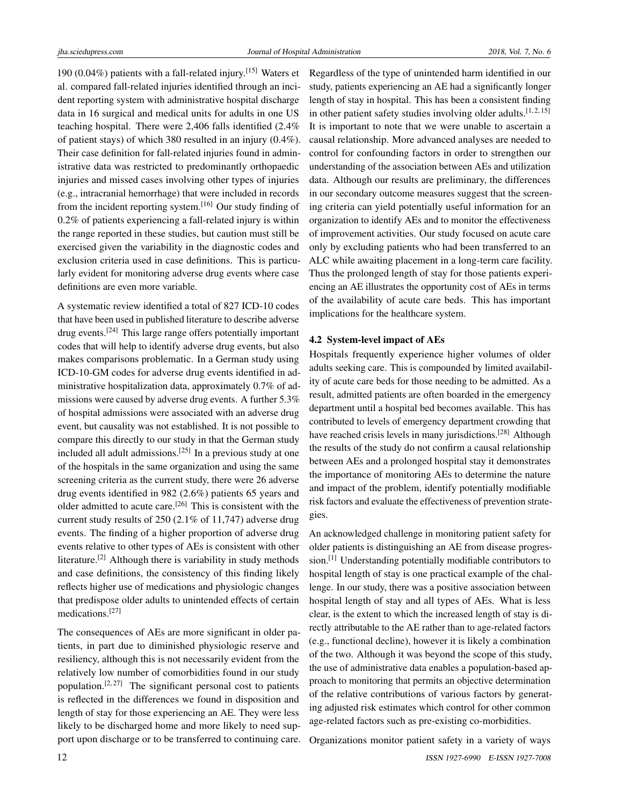190 (0.04%) patients with a fall-related injury.[\[15\]](#page-8-0) Waters et al. compared fall-related injuries identified through an incident reporting system with administrative hospital discharge data in 16 surgical and medical units for adults in one US teaching hospital. There were 2,406 falls identified (2.4% of patient stays) of which 380 resulted in an injury (0.4%). Their case definition for fall-related injuries found in administrative data was restricted to predominantly orthopaedic injuries and missed cases involving other types of injuries (e.g., intracranial hemorrhage) that were included in records from the incident reporting system.[\[16\]](#page-8-8) Our study finding of 0.2% of patients experiencing a fall-related injury is within the range reported in these studies, but caution must still be exercised given the variability in the diagnostic codes and exclusion criteria used in case definitions. This is particularly evident for monitoring adverse drug events where case definitions are even more variable.

A systematic review identified a total of 827 ICD-10 codes that have been used in published literature to describe adverse drug events.[\[24\]](#page-8-9) This large range offers potentially important codes that will help to identify adverse drug events, but also makes comparisons problematic. In a German study using ICD-10-GM codes for adverse drug events identified in administrative hospitalization data, approximately 0.7% of admissions were caused by adverse drug events. A further 5.3% of hospital admissions were associated with an adverse drug event, but causality was not established. It is not possible to compare this directly to our study in that the German study included all adult admissions.[\[25\]](#page-8-10) In a previous study at one of the hospitals in the same organization and using the same screening criteria as the current study, there were 26 adverse drug events identified in 982 (2.6%) patients 65 years and older admitted to acute care.<sup>[\[26\]](#page-8-11)</sup> This is consistent with the current study results of 250 (2.1% of 11,747) adverse drug events. The finding of a higher proportion of adverse drug events relative to other types of AEs is consistent with other literature.[\[2\]](#page-7-2) Although there is variability in study methods and case definitions, the consistency of this finding likely reflects higher use of medications and physiologic changes that predispose older adults to unintended effects of certain medications.[\[27\]](#page-8-12)

The consequences of AEs are more significant in older patients, in part due to diminished physiologic reserve and resiliency, although this is not necessarily evident from the relatively low number of comorbidities found in our study population.<sup>[\[2,](#page-7-2) [27\]](#page-8-12)</sup> The significant personal cost to patients is reflected in the differences we found in disposition and length of stay for those experiencing an AE. They were less likely to be discharged home and more likely to need support upon discharge or to be transferred to continuing care.

Regardless of the type of unintended harm identified in our study, patients experiencing an AE had a significantly longer length of stay in hospital. This has been a consistent finding in other patient safety studies involving older adults.  $[1, 2, 15]$  $[1, 2, 15]$  $[1, 2, 15]$  $[1, 2, 15]$  $[1, 2, 15]$ It is important to note that we were unable to ascertain a causal relationship. More advanced analyses are needed to control for confounding factors in order to strengthen our understanding of the association between AEs and utilization data. Although our results are preliminary, the differences in our secondary outcome measures suggest that the screening criteria can yield potentially useful information for an organization to identify AEs and to monitor the effectiveness of improvement activities. Our study focused on acute care only by excluding patients who had been transferred to an ALC while awaiting placement in a long-term care facility. Thus the prolonged length of stay for those patients experiencing an AE illustrates the opportunity cost of AEs in terms of the availability of acute care beds. This has important implications for the healthcare system.

## 4.2 System-level impact of AEs

Hospitals frequently experience higher volumes of older adults seeking care. This is compounded by limited availability of acute care beds for those needing to be admitted. As a result, admitted patients are often boarded in the emergency department until a hospital bed becomes available. This has contributed to levels of emergency department crowding that have reached crisis levels in many jurisdictions.<sup>[\[28\]](#page-8-13)</sup> Although the results of the study do not confirm a causal relationship between AEs and a prolonged hospital stay it demonstrates the importance of monitoring AEs to determine the nature and impact of the problem, identify potentially modifiable risk factors and evaluate the effectiveness of prevention strategies.

An acknowledged challenge in monitoring patient safety for older patients is distinguishing an AE from disease progression.[\[1\]](#page-7-0) Understanding potentially modifiable contributors to hospital length of stay is one practical example of the challenge. In our study, there was a positive association between hospital length of stay and all types of AEs. What is less clear, is the extent to which the increased length of stay is directly attributable to the AE rather than to age-related factors (e.g., functional decline), however it is likely a combination of the two. Although it was beyond the scope of this study, the use of administrative data enables a population-based approach to monitoring that permits an objective determination of the relative contributions of various factors by generating adjusted risk estimates which control for other common age-related factors such as pre-existing co-morbidities.

Organizations monitor patient safety in a variety of ways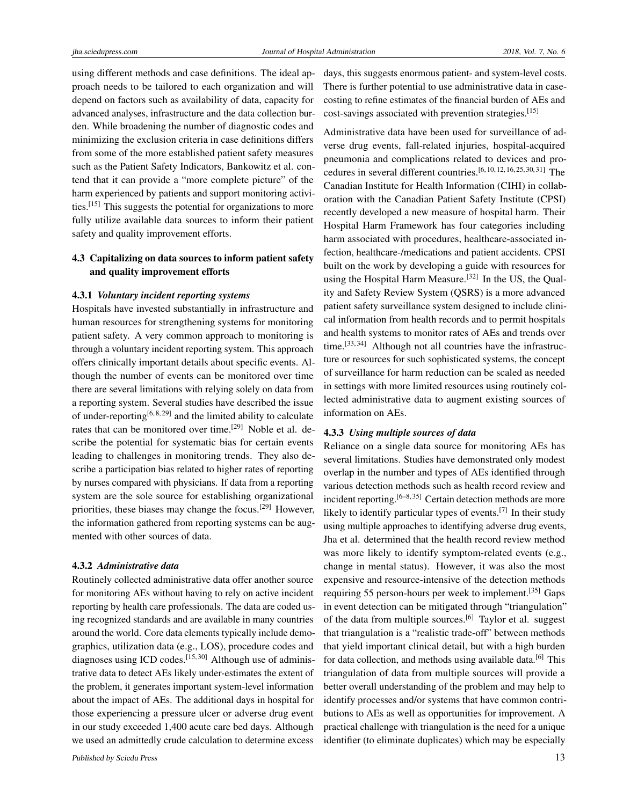using different methods and case definitions. The ideal approach needs to be tailored to each organization and will depend on factors such as availability of data, capacity for advanced analyses, infrastructure and the data collection burden. While broadening the number of diagnostic codes and minimizing the exclusion criteria in case definitions differs from some of the more established patient safety measures such as the Patient Safety Indicators, Bankowitz et al. contend that it can provide a "more complete picture" of the harm experienced by patients and support monitoring activities.[\[15\]](#page-8-0) This suggests the potential for organizations to more fully utilize available data sources to inform their patient safety and quality improvement efforts.

# 4.3 Capitalizing on data sources to inform patient safety and quality improvement efforts

#### 4.3.1 *Voluntary incident reporting systems*

Hospitals have invested substantially in infrastructure and human resources for strengthening systems for monitoring patient safety. A very common approach to monitoring is through a voluntary incident reporting system. This approach offers clinically important details about specific events. Although the number of events can be monitored over time there are several limitations with relying solely on data from a reporting system. Several studies have described the issue of under-reporting<sup>[\[6,](#page-7-5) [8,](#page-7-7) [29\]](#page-8-14)</sup> and the limited ability to calculate rates that can be monitored over time.<sup>[\[29\]](#page-8-14)</sup> Noble et al. describe the potential for systematic bias for certain events leading to challenges in monitoring trends. They also describe a participation bias related to higher rates of reporting by nurses compared with physicians. If data from a reporting system are the sole source for establishing organizational priorities, these biases may change the focus.[\[29\]](#page-8-14) However, the information gathered from reporting systems can be augmented with other sources of data.

#### 4.3.2 *Administrative data*

Routinely collected administrative data offer another source for monitoring AEs without having to rely on active incident reporting by health care professionals. The data are coded using recognized standards and are available in many countries around the world. Core data elements typically include demographics, utilization data (e.g., LOS), procedure codes and diagnoses using ICD codes.<sup>[\[15,](#page-8-0) [30\]](#page-8-15)</sup> Although use of administrative data to detect AEs likely under-estimates the extent of the problem, it generates important system-level information about the impact of AEs. The additional days in hospital for those experiencing a pressure ulcer or adverse drug event in our study exceeded 1,400 acute care bed days. Although we used an admittedly crude calculation to determine excess

days, this suggests enormous patient- and system-level costs. There is further potential to use administrative data in casecosting to refine estimates of the financial burden of AEs and cost-savings associated with prevention strategies.<sup>[\[15\]](#page-8-0)</sup>

Administrative data have been used for surveillance of adverse drug events, fall-related injuries, hospital-acquired pneumonia and complications related to devices and procedures in several different countries.[\[6,](#page-7-5) [10,](#page-7-9) [12,](#page-7-11) [16,](#page-8-8) [25,](#page-8-10) [30,](#page-8-15) [31\]](#page-8-16) The Canadian Institute for Health Information (CIHI) in collaboration with the Canadian Patient Safety Institute (CPSI) recently developed a new measure of hospital harm. Their Hospital Harm Framework has four categories including harm associated with procedures, healthcare-associated infection, healthcare-/medications and patient accidents. CPSI built on the work by developing a guide with resources for using the Hospital Harm Measure.<sup>[\[32\]](#page-8-17)</sup> In the US, the Quality and Safety Review System (QSRS) is a more advanced patient safety surveillance system designed to include clinical information from health records and to permit hospitals and health systems to monitor rates of AEs and trends over time.<sup>[\[33,](#page-8-18) [34\]](#page-8-19)</sup> Although not all countries have the infrastructure or resources for such sophisticated systems, the concept of surveillance for harm reduction can be scaled as needed in settings with more limited resources using routinely collected administrative data to augment existing sources of information on AEs.

#### 4.3.3 *Using multiple sources of data*

Reliance on a single data source for monitoring AEs has several limitations. Studies have demonstrated only modest overlap in the number and types of AEs identified through various detection methods such as health record review and incident reporting.<sup>[\[6–](#page-7-5)[8,](#page-7-7) [35\]](#page-8-20)</sup> Certain detection methods are more likely to identify particular types of events.<sup>[\[7\]](#page-7-6)</sup> In their study using multiple approaches to identifying adverse drug events, Jha et al. determined that the health record review method was more likely to identify symptom-related events (e.g., change in mental status). However, it was also the most expensive and resource-intensive of the detection methods requiring 55 person-hours per week to implement.[\[35\]](#page-8-20) Gaps in event detection can be mitigated through "triangulation" of the data from multiple sources.[\[6\]](#page-7-5) Taylor et al. suggest that triangulation is a "realistic trade-off" between methods that yield important clinical detail, but with a high burden for data collection, and methods using available data.<sup>[\[6\]](#page-7-5)</sup> This triangulation of data from multiple sources will provide a better overall understanding of the problem and may help to identify processes and/or systems that have common contributions to AEs as well as opportunities for improvement. A practical challenge with triangulation is the need for a unique identifier (to eliminate duplicates) which may be especially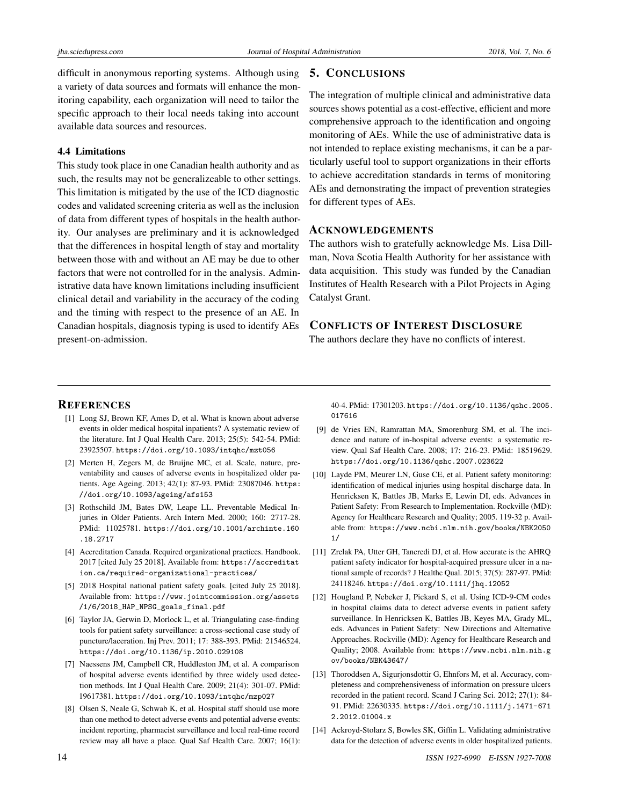difficult in anonymous reporting systems. Although using a variety of data sources and formats will enhance the monitoring capability, each organization will need to tailor the specific approach to their local needs taking into account available data sources and resources.

# 4.4 Limitations

This study took place in one Canadian health authority and as such, the results may not be generalizeable to other settings. This limitation is mitigated by the use of the ICD diagnostic codes and validated screening criteria as well as the inclusion of data from different types of hospitals in the health authority. Our analyses are preliminary and it is acknowledged that the differences in hospital length of stay and mortality between those with and without an AE may be due to other factors that were not controlled for in the analysis. Administrative data have known limitations including insufficient clinical detail and variability in the accuracy of the coding and the timing with respect to the presence of an AE. In Canadian hospitals, diagnosis typing is used to identify AEs present-on-admission.

# 5. CONCLUSIONS

The integration of multiple clinical and administrative data sources shows potential as a cost-effective, efficient and more comprehensive approach to the identification and ongoing monitoring of AEs. While the use of administrative data is not intended to replace existing mechanisms, it can be a particularly useful tool to support organizations in their efforts to achieve accreditation standards in terms of monitoring AEs and demonstrating the impact of prevention strategies for different types of AEs.

#### ACKNOWLEDGEMENTS

The authors wish to gratefully acknowledge Ms. Lisa Dillman, Nova Scotia Health Authority for her assistance with data acquisition. This study was funded by the Canadian Institutes of Health Research with a Pilot Projects in Aging Catalyst Grant.

# CONFLICTS OF INTEREST DISCLOSURE

The authors declare they have no conflicts of interest.

#### **REFERENCES**

- <span id="page-7-0"></span>[1] Long SJ, Brown KF, Ames D, et al. What is known about adverse events in older medical hospital inpatients? A systematic review of the literature. Int J Qual Health Care. 2013; 25(5): 542-54. PMid: 23925507. <https://doi.org/10.1093/intqhc/mzt056>
- <span id="page-7-2"></span>[2] Merten H, Zegers M, de Bruijne MC, et al. Scale, nature, preventability and causes of adverse events in hospitalized older patients. Age Ageing. 2013; 42(1): 87-93. PMid: 23087046. [https:](https://doi.org/10.1093/ageing/afs153) [//doi.org/10.1093/ageing/afs153](https://doi.org/10.1093/ageing/afs153)
- <span id="page-7-1"></span>[3] Rothschild JM, Bates DW, Leape LL. Preventable Medical Injuries in Older Patients. Arch Intern Med. 2000; 160: 2717-28. PMid: 11025781. [https://doi.org/10.1001/archinte.160](https://doi.org/10.1001/archinte.160.18.2717) [.18.2717](https://doi.org/10.1001/archinte.160.18.2717)
- <span id="page-7-3"></span>[4] Accreditation Canada. Required organizational practices. Handbook. 2017 [cited July 25 2018]. Available from: [https://accreditat]( https://accreditation.ca/required-organizational-practices/) [ion.ca/required-organizational-practices/]( https://accreditation.ca/required-organizational-practices/)
- <span id="page-7-4"></span>[5] 2018 Hospital national patient safety goals. [cited July 25 2018]. Available from: [https://www.jointcommission.org/assets](https://www.jointcommission.org/assets/1/6/2018_HAP_NPSG_goals_final.pdf ) [/1/6/2018\\_HAP\\_NPSG\\_goals\\_final.pdf](https://www.jointcommission.org/assets/1/6/2018_HAP_NPSG_goals_final.pdf )
- <span id="page-7-5"></span>[6] Taylor JA, Gerwin D, Morlock L, et al. Triangulating case-finding tools for patient safety surveillance: a cross-sectional case study of puncture/laceration. Inj Prev. 2011; 17: 388-393. PMid: 21546524. <https://doi.org/10.1136/ip.2010.029108>
- <span id="page-7-6"></span>[7] Naessens JM, Campbell CR, Huddleston JM, et al. A comparison of hospital adverse events identified by three widely used detection methods. Int J Qual Health Care. 2009; 21(4): 301-07. PMid: 19617381. <https://doi.org/10.1093/intqhc/mzp027>
- <span id="page-7-7"></span>[8] Olsen S, Neale G, Schwab K, et al. Hospital staff should use more than one method to detect adverse events and potential adverse events: incident reporting, pharmacist surveillance and local real-time record review may all have a place. Qual Saf Health Care. 2007; 16(1):

40-4. PMid: 17301203. [https://doi.org/10.1136/qshc.2005.](https://doi.org/10.1136/qshc.2005.017616) [017616](https://doi.org/10.1136/qshc.2005.017616)

- <span id="page-7-8"></span>[9] de Vries EN, Ramrattan MA, Smorenburg SM, et al. The incidence and nature of in-hospital adverse events: a systematic review. Qual Saf Health Care. 2008; 17: 216-23. PMid: 18519629. <https://doi.org/10.1136/qshc.2007.023622>
- <span id="page-7-9"></span>[10] Layde PM, Meurer LN, Guse CE, et al. Patient safety monitoring: identification of medical injuries using hospital discharge data. In Henricksen K, Battles JB, Marks E, Lewin DI, eds. Advances in Patient Safety: From Research to Implementation. Rockville (MD): Agency for Healthcare Research and Quality; 2005. 119-32 p. Available from: [https://www.ncbi.nlm.nih.gov/books/NBK2050](https://www.ncbi.nlm.nih.gov/books/NBK20501/) [1/](https://www.ncbi.nlm.nih.gov/books/NBK20501/)
- <span id="page-7-10"></span>[11] Zrelak PA, Utter GH, Tancredi DJ, et al. How accurate is the AHRQ patient safety indicator for hospital-acquired pressure ulcer in a national sample of records? J Healthc Qual. 2015; 37(5): 287-97. PMid: 24118246. <https://doi.org/10.1111/jhq.12052>
- <span id="page-7-11"></span>[12] Hougland P, Nebeker J, Pickard S, et al. Using ICD-9-CM codes in hospital claims data to detect adverse events in patient safety surveillance. In Henricksen K, Battles JB, Keyes MA, Grady ML, eds. Advances in Patient Safety: New Directions and Alternative Approaches. Rockville (MD): Agency for Healthcare Research and Quality; 2008. Available from: [https://www.ncbi.nlm.nih.g](https://www.ncbi.nlm.nih.gov/books/NBK43647/) [ov/books/NBK43647/](https://www.ncbi.nlm.nih.gov/books/NBK43647/)
- <span id="page-7-12"></span>[13] Thoroddsen A, Sigurjonsdottir G, Ehnfors M, et al. Accuracy, completeness and comprehensiveness of information on pressure ulcers recorded in the patient record. Scand J Caring Sci. 2012; 27(1): 84- 91. PMid: 22630335. [https://doi.org/10.1111/j.1471-671](https://doi.org/10.1111/j.1471-6712.2012.01004.x) [2.2012.01004.x](https://doi.org/10.1111/j.1471-6712.2012.01004.x)
- <span id="page-7-13"></span>[14] Ackroyd-Stolarz S, Bowles SK, Giffin L. Validating administrative data for the detection of adverse events in older hospitalized patients.